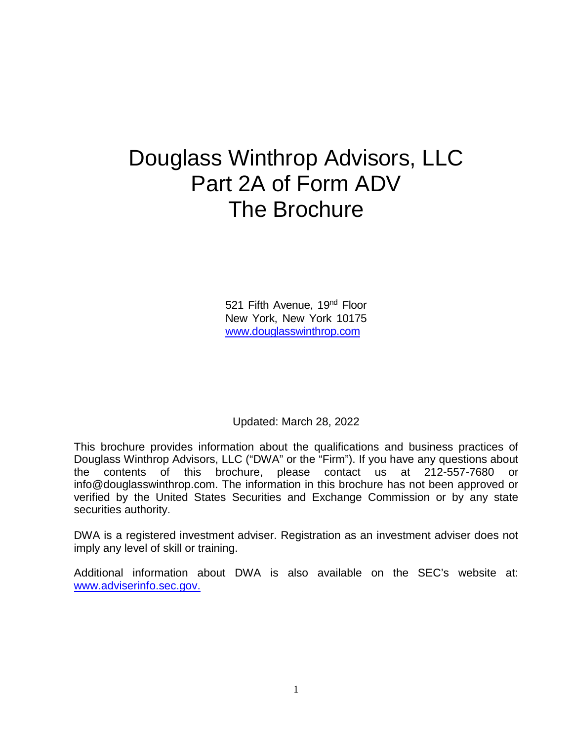# Douglass Winthrop Advisors, LLC Part 2A of Form ADV The Brochure

521 Fifth Avenue, 19<sup>nd</sup> Floor New York, New York 10175 [www.douglasswinthrop.com](http://www.douglasswinthrop.com/)

Updated: March 28, 2022

This brochure provides information about the qualifications and business practices of Douglass Winthrop Advisors, LLC ("DWA" or the "Firm"). If you have any questions about the contents of this brochure, please contact us at 212-557-7680 or info@douglasswinthrop.com. The information in this brochure has not been approved or verified by the United States Securities and Exchange Commission or by any state securities authority.

DWA is a registered investment adviser. Registration as an investment adviser does not imply any level of skill or training.

Additional information about DWA is also available on the SEC's website at: [www.adviserinfo.sec.gov.](http://www.adviserinfo.sec.gov/)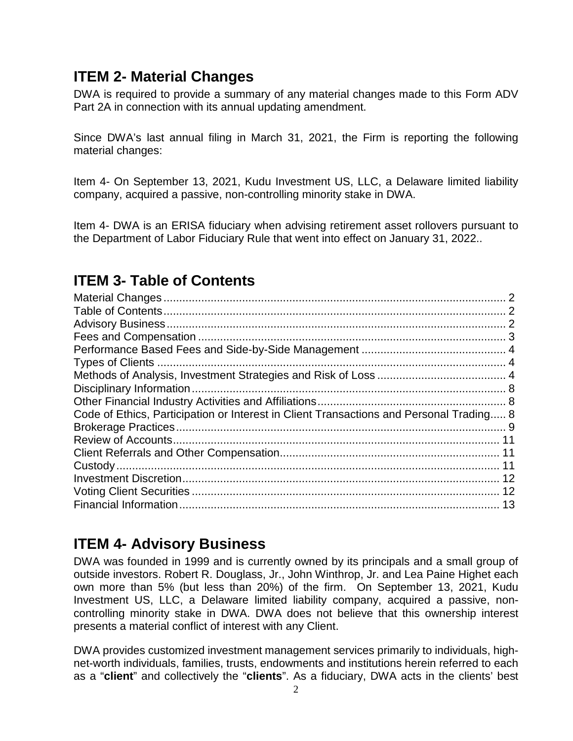### **ITEM 2- Material Changes**

DWA is required to provide a summary of any material changes made to this Form ADV Part 2A in connection with its annual updating amendment.

Since DWA's last annual filing in March 31, 2021, the Firm is reporting the following material changes:

Item 4- On September 13, 2021, Kudu Investment US, LLC, a Delaware limited liability company, acquired a passive, non-controlling minority stake in DWA.

Item 4- DWA is an ERISA fiduciary when advising retirement asset rollovers pursuant to the Department of Labor Fiduciary Rule that went into effect on January 31, 2022..

# **ITEM 3- Table of Contents**

| Code of Ethics, Participation or Interest in Client Transactions and Personal Trading 8 |  |
|-----------------------------------------------------------------------------------------|--|
|                                                                                         |  |
|                                                                                         |  |
|                                                                                         |  |
|                                                                                         |  |
|                                                                                         |  |
|                                                                                         |  |
|                                                                                         |  |
|                                                                                         |  |

# **ITEM 4- Advisory Business**

DWA was founded in 1999 and is currently owned by its principals and a small group of outside investors. Robert R. Douglass, Jr., John Winthrop, Jr. and Lea Paine Highet each own more than 5% (but less than 20%) of the firm. On September 13, 2021, Kudu Investment US, LLC, a Delaware limited liability company, acquired a passive, noncontrolling minority stake in DWA. DWA does not believe that this ownership interest presents a material conflict of interest with any Client.

DWA provides customized investment management services primarily to individuals, highnet-worth individuals, families, trusts, endowments and institutions herein referred to each as a "**client**" and collectively the "**clients**". As a fiduciary, DWA acts in the clients' best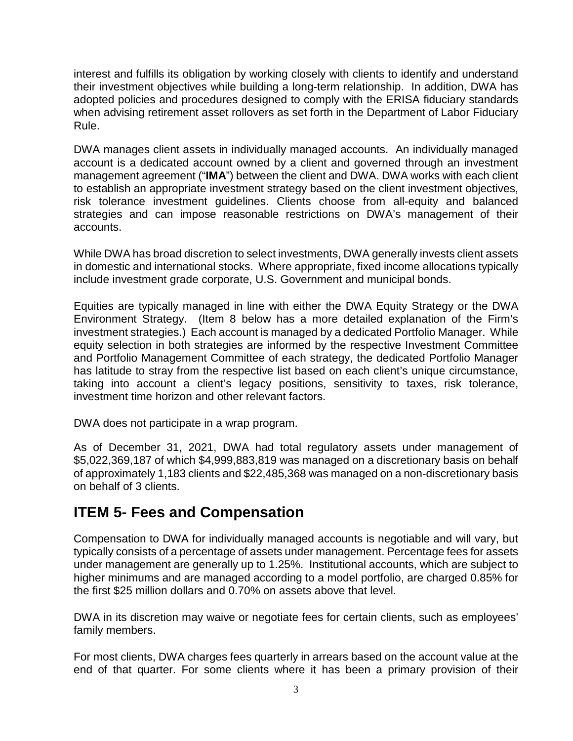interest and fulfills its obligation by working closely with clients to identify and understand their investment objectives while building a long-term relationship. In addition, DWA has adopted policies and procedures designed to comply with the ERISA fiduciary standards when advising retirement asset rollovers as set forth in the Department of Labor Fiduciary Rule.

DWA manages client assets in individually managed accounts. An individually managed account is a dedicated account owned by a client and governed through an investment management agreement ("**IMA**") between the client and DWA. DWA works with each client to establish an appropriate investment strategy based on the client investment objectives, risk tolerance investment guidelines. Clients choose from all-equity and balanced strategies and can impose reasonable restrictions on DWA's management of their accounts.

While DWA has broad discretion to select investments, DWA generally invests client assets in domestic and international stocks. Where appropriate, fixed income allocations typically include investment grade corporate, U.S. Government and municipal bonds.

Equities are typically managed in line with either the DWA Equity Strategy or the DWA Environment Strategy. (Item 8 below has a more detailed explanation of the Firm's investment strategies.) Each account is managed by a dedicated Portfolio Manager. While equity selection in both strategies are informed by the respective Investment Committee and Portfolio Management Committee of each strategy, the dedicated Portfolio Manager has latitude to stray from the respective list based on each client's unique circumstance, taking into account a client's legacy positions, sensitivity to taxes, risk tolerance, investment time horizon and other relevant factors.

DWA does not participate in a wrap program.

As of December 31, 2021, DWA had total regulatory assets under management of \$5,022,369,187 of which \$4,999,883,819 was managed on a discretionary basis on behalf of approximately 1,183 clients and \$22,485,368 was managed on a non-discretionary basis on behalf of 3 clients.

### **ITEM 5- Fees and Compensation**

Compensation to DWA for individually managed accounts is negotiable and will vary, but typically consists of a percentage of assets under management. Percentage fees for assets under management are generally up to 1.25%. Institutional accounts, which are subject to higher minimums and are managed according to a model portfolio, are charged 0.85% for the first \$25 million dollars and 0.70% on assets above that level.

DWA in its discretion may waive or negotiate fees for certain clients, such as employees' family members.

For most clients, DWA charges fees quarterly in arrears based on the account value at the end of that quarter. For some clients where it has been a primary provision of their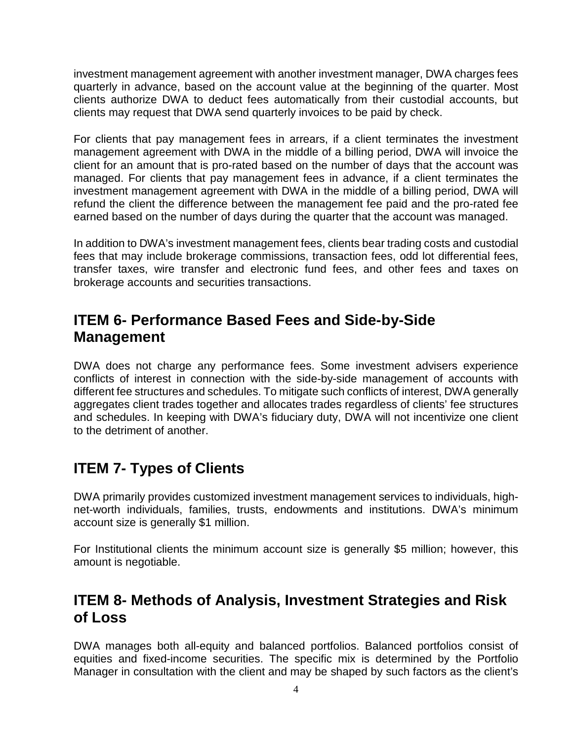investment management agreement with another investment manager, DWA charges fees quarterly in advance, based on the account value at the beginning of the quarter. Most clients authorize DWA to deduct fees automatically from their custodial accounts, but clients may request that DWA send quarterly invoices to be paid by check.

For clients that pay management fees in arrears, if a client terminates the investment management agreement with DWA in the middle of a billing period, DWA will invoice the client for an amount that is pro-rated based on the number of days that the account was managed. For clients that pay management fees in advance, if a client terminates the investment management agreement with DWA in the middle of a billing period, DWA will refund the client the difference between the management fee paid and the pro-rated fee earned based on the number of days during the quarter that the account was managed.

In addition to DWA's investment management fees, clients bear trading costs and custodial fees that may include brokerage commissions, transaction fees, odd lot differential fees, transfer taxes, wire transfer and electronic fund fees, and other fees and taxes on brokerage accounts and securities transactions.

### **ITEM 6- Performance Based Fees and Side-by-Side Management**

DWA does not charge any performance fees. Some investment advisers experience conflicts of interest in connection with the side-by-side management of accounts with different fee structures and schedules. To mitigate such conflicts of interest, DWA generally aggregates client trades together and allocates trades regardless of clients' fee structures and schedules. In keeping with DWA's fiduciary duty, DWA will not incentivize one client to the detriment of another.

# **ITEM 7- Types of Clients**

DWA primarily provides customized investment management services to individuals, highnet-worth individuals, families, trusts, endowments and institutions. DWA's minimum account size is generally \$1 million.

For Institutional clients the minimum account size is generally \$5 million; however, this amount is negotiable.

### **ITEM 8- Methods of Analysis, Investment Strategies and Risk of Loss**

DWA manages both all-equity and balanced portfolios. Balanced portfolios consist of equities and fixed-income securities. The specific mix is determined by the Portfolio Manager in consultation with the client and may be shaped by such factors as the client's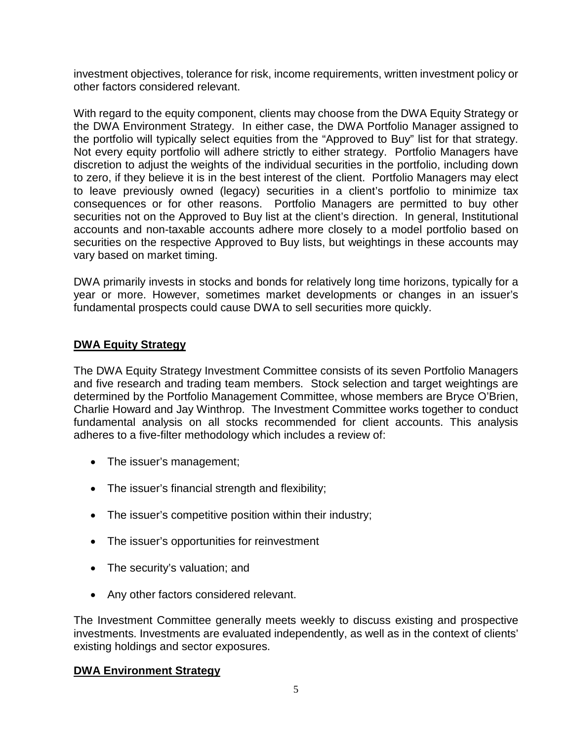investment objectives, tolerance for risk, income requirements, written investment policy or other factors considered relevant.

With regard to the equity component, clients may choose from the DWA Equity Strategy or the DWA Environment Strategy. In either case, the DWA Portfolio Manager assigned to the portfolio will typically select equities from the "Approved to Buy" list for that strategy. Not every equity portfolio will adhere strictly to either strategy. Portfolio Managers have discretion to adjust the weights of the individual securities in the portfolio, including down to zero, if they believe it is in the best interest of the client. Portfolio Managers may elect to leave previously owned (legacy) securities in a client's portfolio to minimize tax consequences or for other reasons. Portfolio Managers are permitted to buy other securities not on the Approved to Buy list at the client's direction. In general, Institutional accounts and non-taxable accounts adhere more closely to a model portfolio based on securities on the respective Approved to Buy lists, but weightings in these accounts may vary based on market timing.

DWA primarily invests in stocks and bonds for relatively long time horizons, typically for a year or more. However, sometimes market developments or changes in an issuer's fundamental prospects could cause DWA to sell securities more quickly.

#### **DWA Equity Strategy**

The DWA Equity Strategy Investment Committee consists of its seven Portfolio Managers and five research and trading team members. Stock selection and target weightings are determined by the Portfolio Management Committee, whose members are Bryce O'Brien, Charlie Howard and Jay Winthrop. The Investment Committee works together to conduct fundamental analysis on all stocks recommended for client accounts. This analysis adheres to a five-filter methodology which includes a review of:

- The issuer's management;
- The issuer's financial strength and flexibility;
- The issuer's competitive position within their industry;
- The issuer's opportunities for reinvestment
- The security's valuation; and
- Any other factors considered relevant.

The Investment Committee generally meets weekly to discuss existing and prospective investments. Investments are evaluated independently, as well as in the context of clients' existing holdings and sector exposures.

#### **DWA Environment Strategy**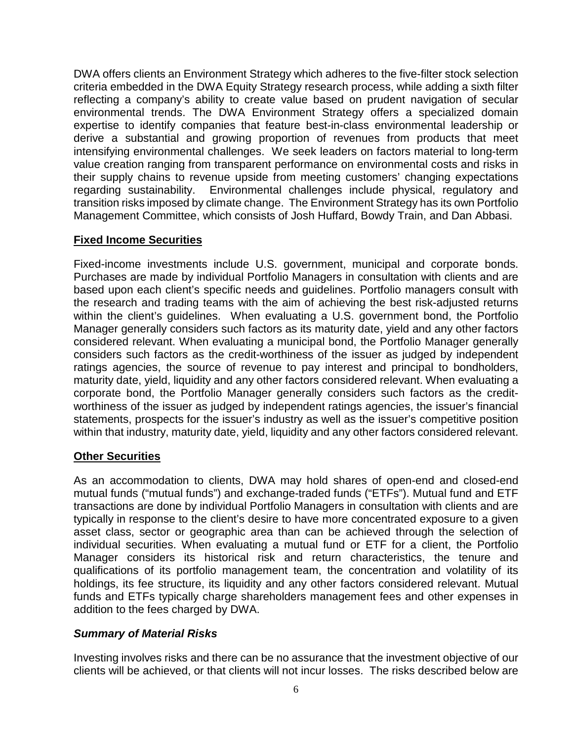DWA offers clients an Environment Strategy which adheres to the five-filter stock selection criteria embedded in the DWA Equity Strategy research process, while adding a sixth filter reflecting a company's ability to create value based on prudent navigation of secular environmental trends. The DWA Environment Strategy offers a specialized domain expertise to identify companies that feature best-in-class environmental leadership or derive a substantial and growing proportion of revenues from products that meet intensifying environmental challenges. We seek leaders on factors material to long-term value creation ranging from transparent performance on environmental costs and risks in their supply chains to revenue upside from meeting customers' changing expectations regarding sustainability. Environmental challenges include physical, regulatory and transition risks imposed by climate change. The Environment Strategy has its own Portfolio Management Committee, which consists of Josh Huffard, Bowdy Train, and Dan Abbasi.

#### **Fixed Income Securities**

Fixed-income investments include U.S. government, municipal and corporate bonds. Purchases are made by individual Portfolio Managers in consultation with clients and are based upon each client's specific needs and guidelines. Portfolio managers consult with the research and trading teams with the aim of achieving the best risk-adjusted returns within the client's guidelines. When evaluating a U.S. government bond, the Portfolio Manager generally considers such factors as its maturity date, yield and any other factors considered relevant. When evaluating a municipal bond, the Portfolio Manager generally considers such factors as the credit-worthiness of the issuer as judged by independent ratings agencies, the source of revenue to pay interest and principal to bondholders, maturity date, yield, liquidity and any other factors considered relevant. When evaluating a corporate bond, the Portfolio Manager generally considers such factors as the creditworthiness of the issuer as judged by independent ratings agencies, the issuer's financial statements, prospects for the issuer's industry as well as the issuer's competitive position within that industry, maturity date, yield, liquidity and any other factors considered relevant.

#### **Other Securities**

As an accommodation to clients, DWA may hold shares of open-end and closed-end mutual funds ("mutual funds") and exchange-traded funds ("ETFs"). Mutual fund and ETF transactions are done by individual Portfolio Managers in consultation with clients and are typically in response to the client's desire to have more concentrated exposure to a given asset class, sector or geographic area than can be achieved through the selection of individual securities. When evaluating a mutual fund or ETF for a client, the Portfolio Manager considers its historical risk and return characteristics, the tenure and qualifications of its portfolio management team, the concentration and volatility of its holdings, its fee structure, its liquidity and any other factors considered relevant. Mutual funds and ETFs typically charge shareholders management fees and other expenses in addition to the fees charged by DWA.

#### *Summary of Material Risks*

Investing involves risks and there can be no assurance that the investment objective of our clients will be achieved, or that clients will not incur losses. The risks described below are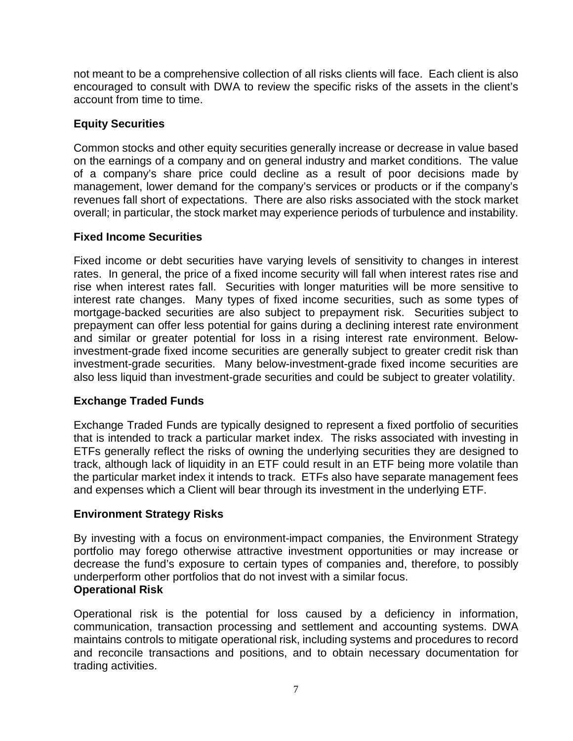not meant to be a comprehensive collection of all risks clients will face. Each client is also encouraged to consult with DWA to review the specific risks of the assets in the client's account from time to time.

#### **Equity Securities**

Common stocks and other equity securities generally increase or decrease in value based on the earnings of a company and on general industry and market conditions. The value of a company's share price could decline as a result of poor decisions made by management, lower demand for the company's services or products or if the company's revenues fall short of expectations. There are also risks associated with the stock market overall; in particular, the stock market may experience periods of turbulence and instability.

#### **Fixed Income Securities**

Fixed income or debt securities have varying levels of sensitivity to changes in interest rates. In general, the price of a fixed income security will fall when interest rates rise and rise when interest rates fall. Securities with longer maturities will be more sensitive to interest rate changes. Many types of fixed income securities, such as some types of mortgage-backed securities are also subject to prepayment risk. Securities subject to prepayment can offer less potential for gains during a declining interest rate environment and similar or greater potential for loss in a rising interest rate environment. Belowinvestment-grade fixed income securities are generally subject to greater credit risk than investment-grade securities. Many below-investment-grade fixed income securities are also less liquid than investment-grade securities and could be subject to greater volatility.

#### **Exchange Traded Funds**

Exchange Traded Funds are typically designed to represent a fixed portfolio of securities that is intended to track a particular market index. The risks associated with investing in ETFs generally reflect the risks of owning the underlying securities they are designed to track, although lack of liquidity in an ETF could result in an ETF being more volatile than the particular market index it intends to track. ETFs also have separate management fees and expenses which a Client will bear through its investment in the underlying ETF.

#### **Environment Strategy Risks**

By investing with a focus on environment-impact companies, the Environment Strategy portfolio may forego otherwise attractive investment opportunities or may increase or decrease the fund's exposure to certain types of companies and, therefore, to possibly underperform other portfolios that do not invest with a similar focus. **Operational Risk** 

Operational risk is the potential for loss caused by a deficiency in information, communication, transaction processing and settlement and accounting systems. DWA maintains controls to mitigate operational risk, including systems and procedures to record and reconcile transactions and positions, and to obtain necessary documentation for trading activities.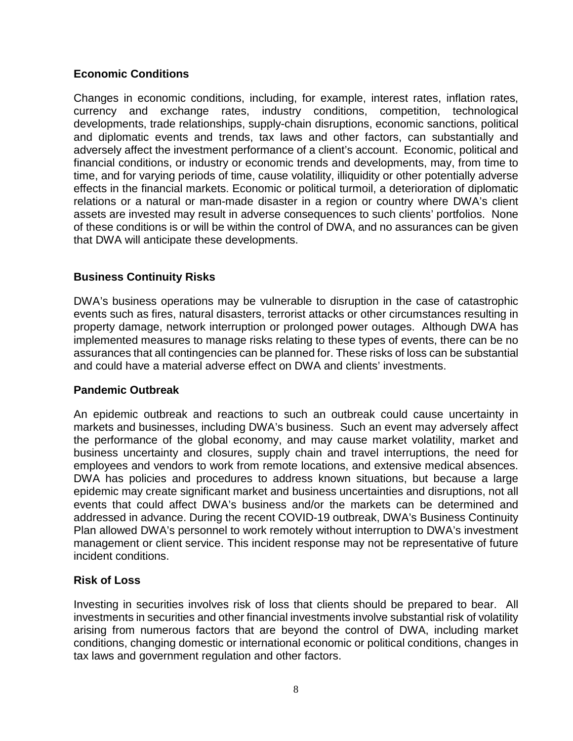#### **Economic Conditions**

Changes in economic conditions, including, for example, interest rates, inflation rates, currency and exchange rates, industry conditions, competition, technological developments, trade relationships, supply-chain disruptions, economic sanctions, political and diplomatic events and trends, tax laws and other factors, can substantially and adversely affect the investment performance of a client's account. Economic, political and financial conditions, or industry or economic trends and developments, may, from time to time, and for varying periods of time, cause volatility, illiquidity or other potentially adverse effects in the financial markets. Economic or political turmoil, a deterioration of diplomatic relations or a natural or man-made disaster in a region or country where DWA's client assets are invested may result in adverse consequences to such clients' portfolios. None of these conditions is or will be within the control of DWA, and no assurances can be given that DWA will anticipate these developments.

#### **Business Continuity Risks**

DWA's business operations may be vulnerable to disruption in the case of catastrophic events such as fires, natural disasters, terrorist attacks or other circumstances resulting in property damage, network interruption or prolonged power outages. Although DWA has implemented measures to manage risks relating to these types of events, there can be no assurances that all contingencies can be planned for. These risks of loss can be substantial and could have a material adverse effect on DWA and clients' investments.

#### **Pandemic Outbreak**

An epidemic outbreak and reactions to such an outbreak could cause uncertainty in markets and businesses, including DWA's business. Such an event may adversely affect the performance of the global economy, and may cause market volatility, market and business uncertainty and closures, supply chain and travel interruptions, the need for employees and vendors to work from remote locations, and extensive medical absences. DWA has policies and procedures to address known situations, but because a large epidemic may create significant market and business uncertainties and disruptions, not all events that could affect DWA's business and/or the markets can be determined and addressed in advance. During the recent COVID-19 outbreak, DWA's Business Continuity Plan allowed DWA's personnel to work remotely without interruption to DWA's investment management or client service. This incident response may not be representative of future incident conditions.

#### **Risk of Loss**

Investing in securities involves risk of loss that clients should be prepared to bear. All investments in securities and other financial investments involve substantial risk of volatility arising from numerous factors that are beyond the control of DWA, including market conditions, changing domestic or international economic or political conditions, changes in tax laws and government regulation and other factors.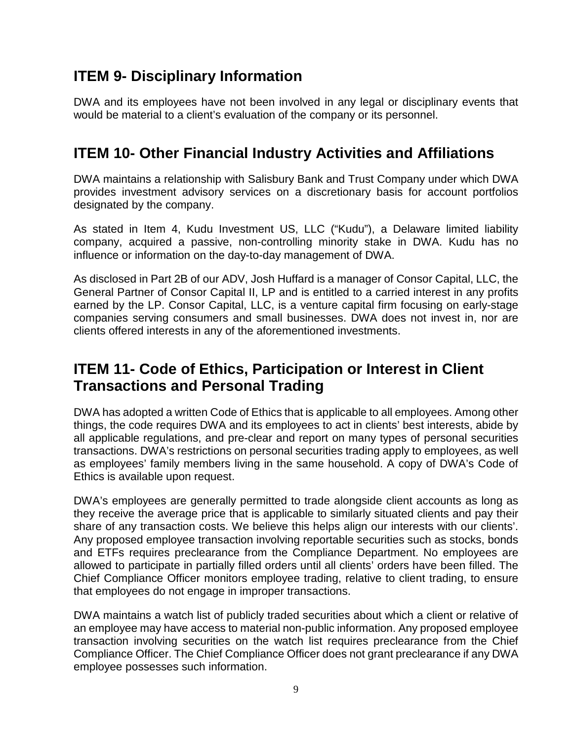## **ITEM 9- Disciplinary Information**

DWA and its employees have not been involved in any legal or disciplinary events that would be material to a client's evaluation of the company or its personnel.

## **ITEM 10- Other Financial Industry Activities and Affiliations**

DWA maintains a relationship with Salisbury Bank and Trust Company under which DWA provides investment advisory services on a discretionary basis for account portfolios designated by the company.

As stated in Item 4, Kudu Investment US, LLC ("Kudu"), a Delaware limited liability company, acquired a passive, non-controlling minority stake in DWA. Kudu has no influence or information on the day-to-day management of DWA.

As disclosed in Part 2B of our ADV, Josh Huffard is a manager of Consor Capital, LLC, the General Partner of Consor Capital II, LP and is entitled to a carried interest in any profits earned by the LP. Consor Capital, LLC, is a venture capital firm focusing on early-stage companies serving consumers and small businesses. DWA does not invest in, nor are clients offered interests in any of the aforementioned investments.

### **ITEM 11- Code of Ethics, Participation or Interest in Client Transactions and Personal Trading**

DWA has adopted a written Code of Ethics that is applicable to all employees. Among other things, the code requires DWA and its employees to act in clients' best interests, abide by all applicable regulations, and pre-clear and report on many types of personal securities transactions. DWA's restrictions on personal securities trading apply to employees, as well as employees' family members living in the same household. A copy of DWA's Code of Ethics is available upon request.

DWA's employees are generally permitted to trade alongside client accounts as long as they receive the average price that is applicable to similarly situated clients and pay their share of any transaction costs. We believe this helps align our interests with our clients'. Any proposed employee transaction involving reportable securities such as stocks, bonds and ETFs requires preclearance from the Compliance Department. No employees are allowed to participate in partially filled orders until all clients' orders have been filled. The Chief Compliance Officer monitors employee trading, relative to client trading, to ensure that employees do not engage in improper transactions.

DWA maintains a watch list of publicly traded securities about which a client or relative of an employee may have access to material non-public information. Any proposed employee transaction involving securities on the watch list requires preclearance from the Chief Compliance Officer. The Chief Compliance Officer does not grant preclearance if any DWA employee possesses such information.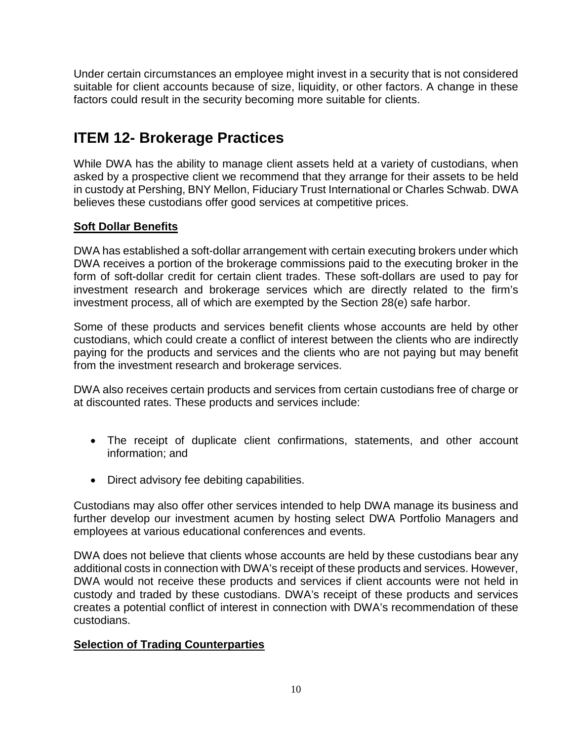Under certain circumstances an employee might invest in a security that is not considered suitable for client accounts because of size, liquidity, or other factors. A change in these factors could result in the security becoming more suitable for clients.

# **ITEM 12- Brokerage Practices**

While DWA has the ability to manage client assets held at a variety of custodians, when asked by a prospective client we recommend that they arrange for their assets to be held in custody at Pershing, BNY Mellon, Fiduciary Trust International or Charles Schwab. DWA believes these custodians offer good services at competitive prices.

#### **Soft Dollar Benefits**

DWA has established a soft-dollar arrangement with certain executing brokers under which DWA receives a portion of the brokerage commissions paid to the executing broker in the form of soft-dollar credit for certain client trades. These soft-dollars are used to pay for investment research and brokerage services which are directly related to the firm's investment process, all of which are exempted by the Section 28(e) safe harbor.

Some of these products and services benefit clients whose accounts are held by other custodians, which could create a conflict of interest between the clients who are indirectly paying for the products and services and the clients who are not paying but may benefit from the investment research and brokerage services.

DWA also receives certain products and services from certain custodians free of charge or at discounted rates. These products and services include:

- The receipt of duplicate client confirmations, statements, and other account information; and
- Direct advisory fee debiting capabilities.

Custodians may also offer other services intended to help DWA manage its business and further develop our investment acumen by hosting select DWA Portfolio Managers and employees at various educational conferences and events.

DWA does not believe that clients whose accounts are held by these custodians bear any additional costs in connection with DWA's receipt of these products and services. However, DWA would not receive these products and services if client accounts were not held in custody and traded by these custodians. DWA's receipt of these products and services creates a potential conflict of interest in connection with DWA's recommendation of these custodians.

#### **Selection of Trading Counterparties**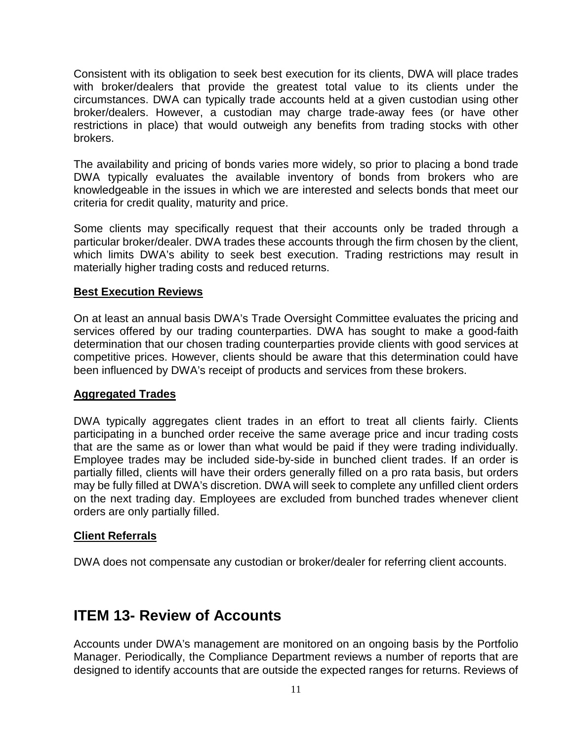Consistent with its obligation to seek best execution for its clients, DWA will place trades with broker/dealers that provide the greatest total value to its clients under the circumstances. DWA can typically trade accounts held at a given custodian using other broker/dealers. However, a custodian may charge trade-away fees (or have other restrictions in place) that would outweigh any benefits from trading stocks with other brokers.

The availability and pricing of bonds varies more widely, so prior to placing a bond trade DWA typically evaluates the available inventory of bonds from brokers who are knowledgeable in the issues in which we are interested and selects bonds that meet our criteria for credit quality, maturity and price.

Some clients may specifically request that their accounts only be traded through a particular broker/dealer. DWA trades these accounts through the firm chosen by the client, which limits DWA's ability to seek best execution. Trading restrictions may result in materially higher trading costs and reduced returns.

#### **Best Execution Reviews**

On at least an annual basis DWA's Trade Oversight Committee evaluates the pricing and services offered by our trading counterparties. DWA has sought to make a good-faith determination that our chosen trading counterparties provide clients with good services at competitive prices. However, clients should be aware that this determination could have been influenced by DWA's receipt of products and services from these brokers.

#### **Aggregated Trades**

DWA typically aggregates client trades in an effort to treat all clients fairly. Clients participating in a bunched order receive the same average price and incur trading costs that are the same as or lower than what would be paid if they were trading individually. Employee trades may be included side-by-side in bunched client trades. If an order is partially filled, clients will have their orders generally filled on a pro rata basis, but orders may be fully filled at DWA's discretion. DWA will seek to complete any unfilled client orders on the next trading day. Employees are excluded from bunched trades whenever client orders are only partially filled.

#### **Client Referrals**

DWA does not compensate any custodian or broker/dealer for referring client accounts.

### **ITEM 13- Review of Accounts**

Accounts under DWA's management are monitored on an ongoing basis by the Portfolio Manager. Periodically, the Compliance Department reviews a number of reports that are designed to identify accounts that are outside the expected ranges for returns. Reviews of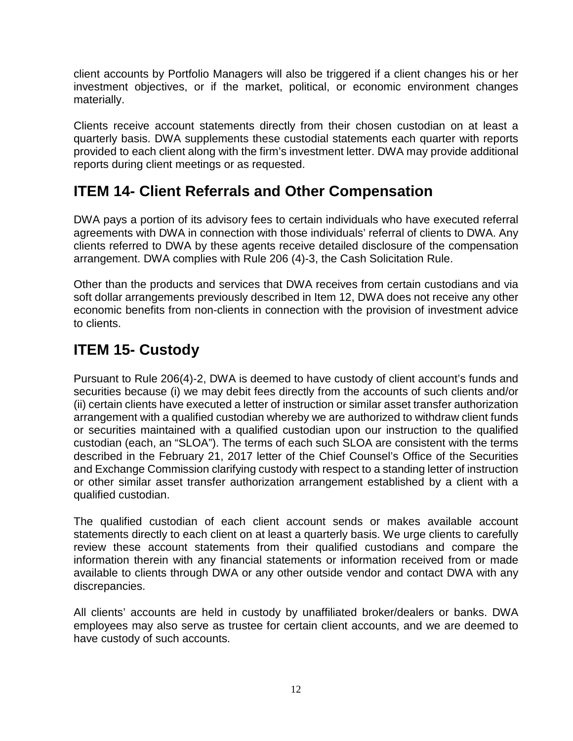client accounts by Portfolio Managers will also be triggered if a client changes his or her investment objectives, or if the market, political, or economic environment changes materially.

Clients receive account statements directly from their chosen custodian on at least a quarterly basis. DWA supplements these custodial statements each quarter with reports provided to each client along with the firm's investment letter. DWA may provide additional reports during client meetings or as requested.

# **ITEM 14- Client Referrals and Other Compensation**

DWA pays a portion of its advisory fees to certain individuals who have executed referral agreements with DWA in connection with those individuals' referral of clients to DWA. Any clients referred to DWA by these agents receive detailed disclosure of the compensation arrangement. DWA complies with Rule 206 (4)-3, the Cash Solicitation Rule.

Other than the products and services that DWA receives from certain custodians and via soft dollar arrangements previously described in Item 12, DWA does not receive any other economic benefits from non-clients in connection with the provision of investment advice to clients.

## **ITEM 15- Custody**

Pursuant to Rule 206(4)‐2, DWA is deemed to have custody of client account's funds and securities because (i) we may debit fees directly from the accounts of such clients and/or (ii) certain clients have executed a letter of instruction or similar asset transfer authorization arrangement with a qualified custodian whereby we are authorized to withdraw client funds or securities maintained with a qualified custodian upon our instruction to the qualified custodian (each, an "SLOA"). The terms of each such SLOA are consistent with the terms described in the February 21, 2017 letter of the Chief Counsel's Office of the Securities and Exchange Commission clarifying custody with respect to a standing letter of instruction or other similar asset transfer authorization arrangement established by a client with a qualified custodian.

The qualified custodian of each client account sends or makes available account statements directly to each client on at least a quarterly basis. We urge clients to carefully review these account statements from their qualified custodians and compare the information therein with any financial statements or information received from or made available to clients through DWA or any other outside vendor and contact DWA with any discrepancies.

All clients' accounts are held in custody by unaffiliated broker/dealers or banks. DWA employees may also serve as trustee for certain client accounts, and we are deemed to have custody of such accounts.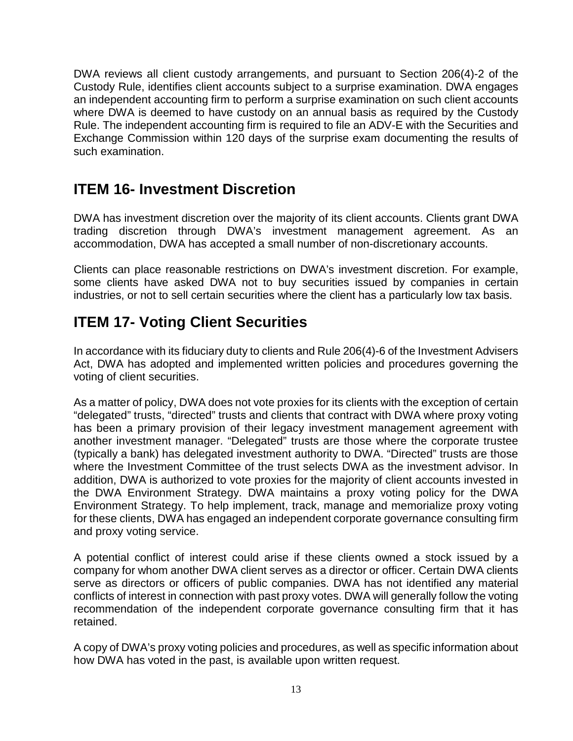DWA reviews all client custody arrangements, and pursuant to Section 206(4)-2 of the Custody Rule, identifies client accounts subject to a surprise examination. DWA engages an independent accounting firm to perform a surprise examination on such client accounts where DWA is deemed to have custody on an annual basis as required by the Custody Rule. The independent accounting firm is required to file an ADV-E with the Securities and Exchange Commission within 120 days of the surprise exam documenting the results of such examination.

## **ITEM 16- Investment Discretion**

DWA has investment discretion over the majority of its client accounts. Clients grant DWA trading discretion through DWA's investment management agreement. As an accommodation, DWA has accepted a small number of non-discretionary accounts.

Clients can place reasonable restrictions on DWA's investment discretion. For example, some clients have asked DWA not to buy securities issued by companies in certain industries, or not to sell certain securities where the client has a particularly low tax basis.

## **ITEM 17- Voting Client Securities**

In accordance with its fiduciary duty to clients and Rule 206(4)-6 of the Investment Advisers Act, DWA has adopted and implemented written policies and procedures governing the voting of client securities.

As a matter of policy, DWA does not vote proxies for its clients with the exception of certain "delegated" trusts, "directed" trusts and clients that contract with DWA where proxy voting has been a primary provision of their legacy investment management agreement with another investment manager. "Delegated" trusts are those where the corporate trustee (typically a bank) has delegated investment authority to DWA. "Directed" trusts are those where the Investment Committee of the trust selects DWA as the investment advisor. In addition, DWA is authorized to vote proxies for the majority of client accounts invested in the DWA Environment Strategy. DWA maintains a proxy voting policy for the DWA Environment Strategy. To help implement, track, manage and memorialize proxy voting for these clients, DWA has engaged an independent corporate governance consulting firm and proxy voting service.

A potential conflict of interest could arise if these clients owned a stock issued by a company for whom another DWA client serves as a director or officer. Certain DWA clients serve as directors or officers of public companies. DWA has not identified any material conflicts of interest in connection with past proxy votes. DWA will generally follow the voting recommendation of the independent corporate governance consulting firm that it has retained.

A copy of DWA's proxy voting policies and procedures, as well as specific information about how DWA has voted in the past, is available upon written request.